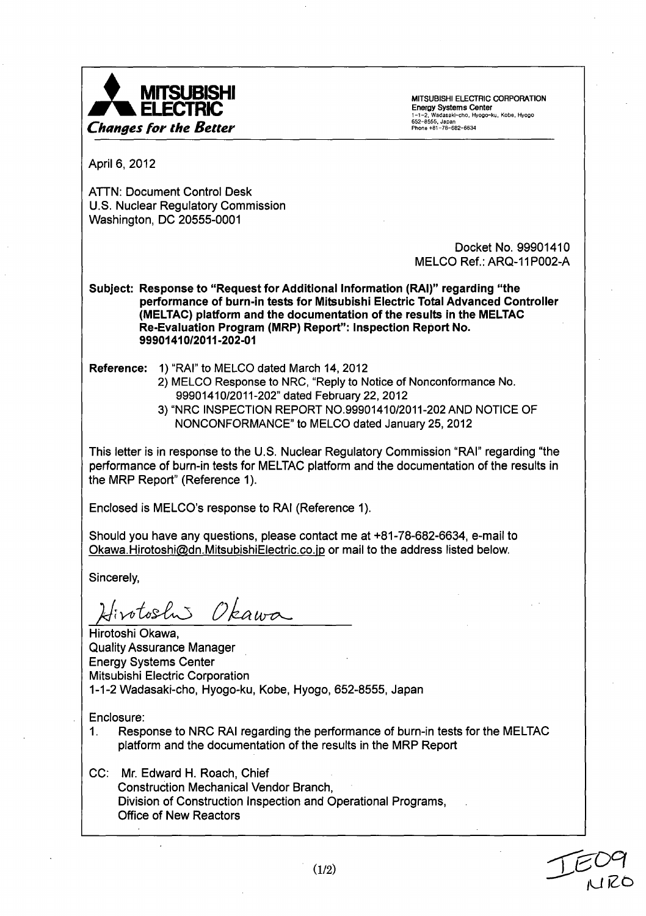

Energy Systems Center **for the Better phone is a set of the Better for the Better phone is a set of the Better For the Better For the Better Phone +81-78-682-6634** 

April 6, 2012

ATTN: Document Control Desk U.S. Nuclear Regulatory Commission Washington, DC 20555-0001

> Docket No. 99901410 MELCO Ref.: ARQ-11P002-A

Subject: Response to "Request for Additional Information (RAI)" regarding "the performance of burn-in tests for Mitsubishi Electric Total Advanced Controller (MELTAC) platform and the documentation of the results in the MELTAC Re-Evaluation Program (MRP) Report": Inspection Report No. 99901410/2011-202-01

Reference: 1) "RAI" to MELCO dated March 14, 2012

- 2) MELCO Response to NRC, "Reply to Notice of Nonconformance No. 99901410/2011-202" dated February 22, 2012
- 3) "NRC INSPECTION REPORT NO.99901410/2011-202 AND NOTICE OF NONCONFORMANCE" to MELCO dated January 25, 2012

This letter is in response to the U.S. Nuclear Regulatory Commission "RAI" regarding "the performance of burn-in tests for MELTAC platform and the documentation of the results in the MRP Report" (Reference 1).

Enclosed is MELCO's response to RAI (Reference 1).

Should you have any questions, please contact me at +81-78-682-6634, e-mail to Okawa.Hirotoshi@dn.MitsubishiElectric.co.jp or mail to the address listed below.

Sincerely,

Hirotoshi Okawa

Hirotoshi Okawa, Quality Assurance Manager Energy Systems Center Mitsubishi Electric Corporation 1-1-2 Wadasaki-cho, Hyogo-ku, Kobe, Hyogo, 652-8555, Japan

Enclosure:

1. Response to NRC RAI regarding the performance of burn-in tests for the MELTAC platform and the documentation of the results in the MRP Report

CC: Mr. Edward H. Roach, Chief Construction Mechanical Vendor Branch, Division of Construction Inspection and Operational Programs, Office of New Reactors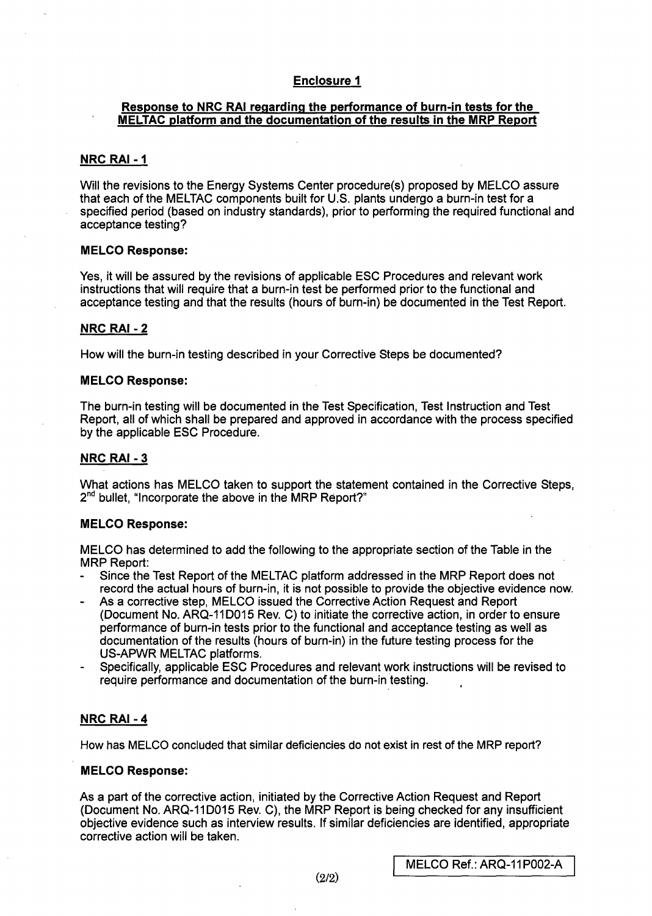# Enclosure **1**

## Response to NRC RAI regarding the performance of burn-in tests for the **MELTAC** platform and the documentation of the results in the MRP Report

## NRC RAI **- I**

Will the revisions to the Energy Systems Center procedure(s) proposed by MELCO assure that each of the MELTAC components built for U.S. plants undergo a burn-in test for a specified period (based on industry standards), prior to performing the required functional and acceptance testing?

### **MELCO** Response:

Yes, it will be assured by the revisions of applicable ESC Procedures and relevant work instructions that will require that a burn-in test be performed prior to the functional and acceptance testing and that the results (hours of burn-in) be documented in the Test Report.

## NRC RAI **-** 2

How will the burn-in testing described in your Corrective Steps be documented?

### **MELCO** Response:

The burn-in testing will be documented in the Test Specification, Test Instruction and Test Report, all of which shall be prepared and approved in accordance with the process specified by the applicable ESC Procedure.

# NRC RAI **- 3**

What actions has MELCO taken to support the statement contained in the Corrective Steps,  $2<sup>nd</sup>$  bullet, "Incorporate the above in the MRP Report?"

## **MELCO** Response:

MELCO has determined to add the following to the appropriate section of the Table in the MRP Report:

- **-** Since the Test Report of the MELTAC platform addressed in the MRP Report does not
- record the actual hours of burn-in, it is not possible to provide the objective evidence now.<br>As a corrective step, MELCO issued the Corrective Action Request and Report<br>(Document No. ARQ-11D015 Rev. C) to initiate the cor performance of burn-in tests prior to the functional and acceptance testing as well as documentation of the results (hours of burn-in) in the future testing process for the US-APWR MELTAC platforms.<br>Specifically, applicable ESC Procedures and relevant work instructions will be revised to
- require performance and documentation of the burn-in testing.

## NRC RAI **-** 4

How has MELCO concluded that similar deficiencies do not exist in rest of the MRP report?

## **MELCO** Response:

As a part of the corrective action, initiated by the Corrective Action Request and Report (Document No. ARQ-11D015 Rev. C), the MRP Report is being checked for any insufficient objective evidence such as interview results. If similar deficiencies are identified, appropriate corrective action will be taken.

**I**MELCO Ref.: ARQ-11P002-A (2/2)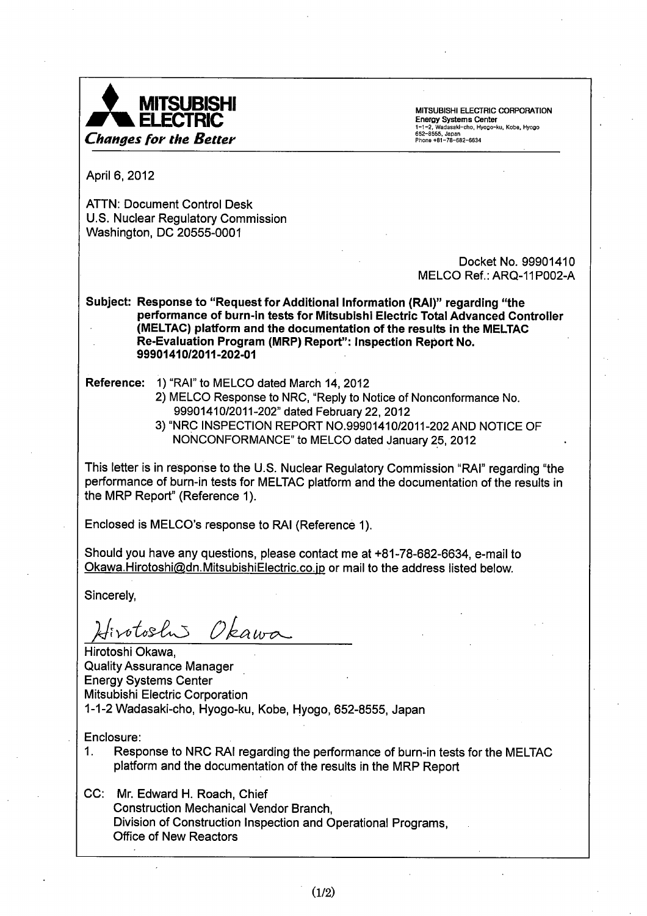

MITSUBISHI ELECTRIC CORPORATION<br>Energy Systems Center E**nergy Systems Center**<br>1-1-2, Wadasakl-cho, Hyogo-ku, Kobe, Hyogo<br>652-8555, Japan<br>Phone +81-78-682-6634

April 6, 2012

ATTN: Document Control Desk U.S. Nuclear Regulatory Commission Washington, DC 20555-0001

> Docket No. 99901410 MELCO Ref.: ARQ-11P002-A

Subject: Response to "Request for Additional Information (RAI)" regarding "the performance of burn-in tests for Mitsubishi Electric Total Advanced Controller (MELTAC) platform and the documentation of the results in the MELTAC Re-Evaluation Program (MRP) Report": Inspection Report No. 99901410/2011-202-01

Reference: 1) "RAI" to MELCO dated March 14, 2012

- 2) MELCO Response to NRC, "Reply to Notice of Nonconformance No. 99901410/2011-202" dated February 22, 2012
- 3) "NRC INSPECTION REPORT NO.99901410/2011-202 AND NOTICE OF NONCONFORMANCE" to MELCO dated January 25, 2012

This letter is in response to the U.S. Nuclear Regulatory Commission "RAI" regarding "the performance of burn-in tests for MELTAC platform and the documentation of the results in the MRP Report" (Reference 1).

Enclosed is MELCO's response to RAI (Reference 1).

Should you have any questions, please contact me at +81-78-682-6634, e-mail to Okawa.Hirotoshi@dn.MitsubishiElectric.co.jp or mail to the address listed below.

Sincerely,

24 *Vkawo* 

Hirotoshi Okawa, Quality Assurance Manager Energy Systems Center Mitsubishi Electric Corporation 1-1-2 Wadasaki-cho, Hyogo-ku, Kobe, Hyogo, 652-8555, Japan

Enclosure:

*1.* Response to NRC RAI regarding the performance of burn-in tests for the MELTAC platform and the documentation of the results in the MRP Report

CC: Mr. Edward H. Roach, Chief Construction Mechanical Vendor Branch, Division of Construction Inspection and Operational Programs, Office of New Reactors